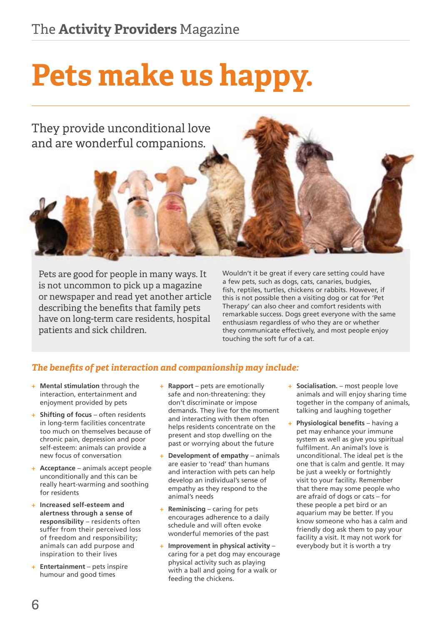# **Pets make us happy.**



Pets are good for people in many ways. It is not uncommon to pick up a magazine or newspaper and read yet another article describing the benefits that family pets have on long-term care residents, hospital patients and sick children.

Wouldn't it be great if every care setting could have a few pets, such as dogs, cats, canaries, budgies, fish, reptiles, turtles, chickens or rabbits. However, if this is not possible then a visiting dog or cat for 'Pet Therapy' can also cheer and comfort residents with remarkable success. Dogs greet everyone with the same enthusiasm regardless of who they are or whether they communicate effectively, and most people enjoy touching the soft fur of a cat.

#### *The benefits of pet interaction and companionship may include:*

- + **Mental stimulation** through the interaction, entertainment and enjoyment provided by pets
- + **Shifting of focus** often residents in long-term facilities concentrate too much on themselves because of chronic pain, depression and poor self-esteem: animals can provide a new focus of conversation
- + **Acceptance** animals accept people unconditionally and this can be really heart-warming and soothing for residents
- + **Increased self-esteem and alertness through a sense of responsibility** – residents often suffer from their perceived loss of freedom and responsibility; animals can add purpose and inspiration to their lives
- + **Entertainment** pets inspire humour and good times
- + **Rapport**  pets are emotionally safe and non-threatening: they don't discriminate or impose demands. They live for the moment and interacting with them often helps residents concentrate on the present and stop dwelling on the past or worrying about the future
- **Development of empathy** animals are easier to 'read' than humans and interaction with pets can help develop an individual's sense of empathy as they respond to the animal's needs
- **Reminiscing** caring for pets encourages adherence to a daily schedule and will often evoke wonderful memories of the past
- + **Improvement in physical activity** caring for a pet dog may encourage physical activity such as playing with a ball and going for a walk or feeding the chickens.
- + **Socialisation.** most people love animals and will enjoy sharing time together in the company of animals, talking and laughing together
- **+ Physiological benefits** having a pet may enhance your immune system as well as give you spiritual fulfilment. An animal's love is unconditional. The ideal pet is the one that is calm and gentle. It may be just a weekly or fortnightly visit to your facility. Remember that there may some people who are afraid of dogs or cats – for these people a pet bird or an aquarium may be better. If you know someone who has a calm and friendly dog ask them to pay your facility a visit. It may not work for everybody but it is worth a try